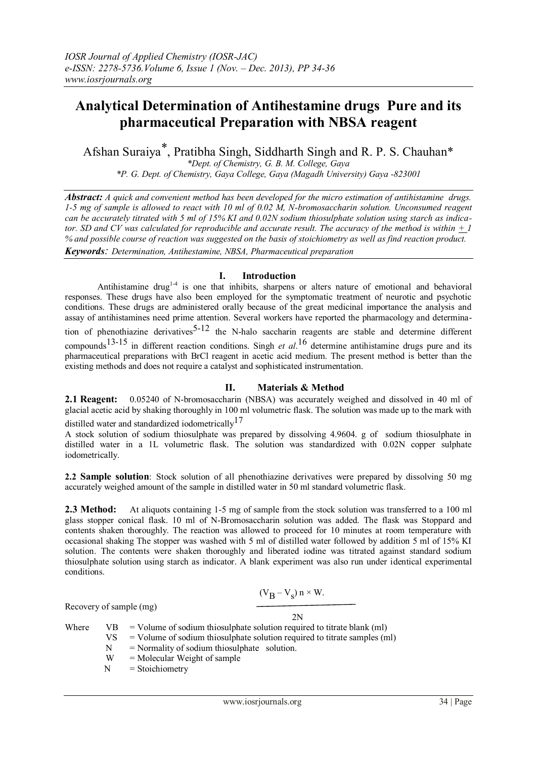# **Analytical Determination of Antihestamine drugs Pure and its pharmaceutical Preparation with NBSA reagent**

Afshan Suraiya\*, Pratibha Singh, Siddharth Singh and R. P. S. Chauhan\*

*\*Dept. of Chemistry, G. B. M. College, Gaya*

*\*P. G. Dept. of Chemistry, Gaya College, Gaya (Magadh University) Gaya -823001*

*Abstract: A quick and convenient method has been developed for the micro estimation of antihistamine drugs. 1-5 mg of sample is allowed to react with 10 ml of 0.02 M, N-bromosaccharin solution. Unconsumed reagent can be accurately titrated with 5 ml of 15% KI and 0.02N sodium thiosulphate solution using starch as indicator. SD and CV was calculated for reproducible and accurate result. The accuracy of the method is within*  $\pm 1$ *% and possible course of reaction was suggested on the basis of stoichiometry as well as find reaction product. Keywords: Determination, Antihestamine, NBSA, Pharmaceutical preparation*

**I. Introduction**

Antihistamine drug<sup>1-4</sup> is one that inhibits, sharpens or alters nature of emotional and behavioral responses. These drugs have also been employed for the symptomatic treatment of neurotic and psychotic conditions. These drugs are administered orally because of the great medicinal importance the analysis and assay of antihistamines need prime attention. Several workers have reported the pharmacology and determination of phenothiazine derivatives<sup>5-12</sup> the N-halo saccharin reagents are stable and determine different compounds13-15 in different reaction conditions. Singh *et al*. 16 determine antihistamine drugs pure and its pharmaceutical preparations with BrCl reagent in acetic acid medium. The present method is better than the existing methods and does not require a catalyst and sophisticated instrumentation.

## **II. Materials & Method**

**2.1 Reagent:** 0.05240 of N-bromosaccharin (NBSA) was accurately weighed and dissolved in 40 ml of glacial acetic acid by shaking thoroughly in 100 ml volumetric flask. The solution was made up to the mark with distilled water and standardized iodometrically<sup>17</sup>

A stock solution of sodium thiosulphate was prepared by dissolving 4.9604. g of sodium thiosulphate in distilled water in a 1L volumetric flask. The solution was standardized with 0.02N copper sulphate iodometrically.

**2.2 Sample solution**: Stock solution of all phenothiazine derivatives were prepared by dissolving 50 mg accurately weighed amount of the sample in distilled water in 50 ml standard volumetric flask.

**2.3 Method:** At aliquots containing 1-5 mg of sample from the stock solution was transferred to a 100 ml glass stopper conical flask. 10 ml of N-Bromosaccharin solution was added. The flask was Stoppard and contents shaken thoroughly. The reaction was allowed to proceed for 10 minutes at room temperature with occasional shaking The stopper was washed with 5 ml of distilled water followed by addition 5 ml of 15% KI solution. The contents were shaken thoroughly and liberated iodine was titrated against standard sodium thiosulphate solution using starch as indicator. A blank experiment was also run under identical experimental conditions.

$$
(V_B - V_s) n \times W.
$$

 $2N$ 

Recovery of sample (mg)

| Where |     | $VB = Volume of sodium thiosulphate solution required to titrate blank (ml)$ |  |  |  |  |  |
|-------|-----|------------------------------------------------------------------------------|--|--|--|--|--|
|       | VS. | $=$ Volume of sodium thiosulphate solution required to titrate samples (ml)  |  |  |  |  |  |
|       | N   | $=$ Normality of sodium thiosulphate solution.                               |  |  |  |  |  |
|       | W   | $=$ Molecular Weight of sample                                               |  |  |  |  |  |
|       |     | $-\frac{C_{\text{total}}}{\sqrt{C_{\text{total}}}}$                          |  |  |  |  |  |

 $N =$ Stoichiometry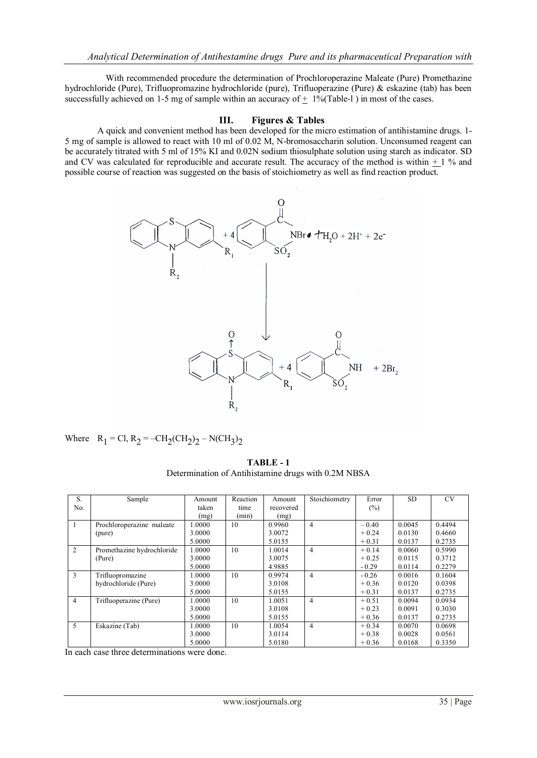With recommended procedure the determination of Prochloroperazine Maleate (Pure) Promethazine hydrochloride (Pure), Trifluopromazine hydrochloride (pure), Trifluoperazine (Pure) & eskazine (tab) has been successfully achieved on 1-5 mg of sample within an accuracy of  $\pm$  1%(Table-1) in most of the cases.

### **III. Figures & Tables**

A quick and convenient method has been developed for the micro estimation of antihistamine drugs. 1- 5 mg of sample is allowed to react with 10 ml of 0.02 M, N-bromosaccharin solution. Unconsumed reagent can be accurately titrated with 5 ml of 15% KI and 0.02N sodium thiosulphate solution using starch as indicator. SD and CV was calculated for reproducible and accurate result. The accuracy of the method is within  $+1$  % and possible course of reaction was suggested on the basis of stoichiometry as well as find reaction product.



Where 
$$
R_1 = C1
$$
,  $R_2 = -CH_2(CH_2)_2 - N(CH_3)_2$ 

**TABLE - 1** Determination of Antihistamine drugs with 0.2M NBSA

| S.             | Sample                     | Amount | Reaction | Amount    | Stoichiometry  | Error   | SD.    | <b>CV</b> |
|----------------|----------------------------|--------|----------|-----------|----------------|---------|--------|-----------|
|                |                            |        |          |           |                |         |        |           |
| No.            |                            | taken  | time     | recovered |                | $(\%)$  |        |           |
|                |                            | (mg)   | (min)    | (mg)      |                |         |        |           |
| -1             | Prochloroperazine maleate  | 1.0000 | 10       | 0.9960    | $\overline{4}$ | $-0.40$ | 0.0045 | 0.4494    |
|                | (pure)                     | 3.0000 |          | 3.0072    |                | $+0.24$ | 0.0130 | 0.4660    |
|                |                            | 5.0000 |          | 5.0155    |                | $+0.31$ | 0.0137 | 0.2735    |
| $\overline{2}$ | Promethazine hydrochloride | 1.0000 | 10       | 1.0014    | $\overline{4}$ | $+0.14$ | 0.0060 | 0.5990    |
|                | (Pure)                     | 3.0000 |          | 3.0075    |                | $+0.25$ | 0.0115 | 0.3712    |
|                |                            | 5.0000 |          | 4.9885    |                | $-0.29$ | 0.0114 | 0.2279    |
| 3              | Trifluopromazine           | 1.0000 | 10       | 0.9974    | $\overline{4}$ | $-0.26$ | 0.0016 | 0.1604    |
|                | hydrochloride (Pure)       | 3.0000 |          | 3.0108    |                | $+0.36$ | 0.0120 | 0.0398    |
|                |                            | 5.0000 |          | 5.0155    |                | $+0.31$ | 0.0137 | 0.2735    |
| $\overline{4}$ | Trifluoperazine (Pure)     | 1.0000 | 10       | 1.0051    | $\overline{4}$ | $+0.51$ | 0.0094 | 0.0934    |
|                |                            | 3.0000 |          | 3.0108    |                | $+0.23$ | 0.0091 | 0.3030    |
|                |                            | 5.0000 |          | 5.0155    |                | $+0.36$ | 0.0137 | 0.2735    |
| 5              | Eskazine (Tab)             | 1.0000 | 10       | 1.0054    | $\overline{4}$ | $+0.34$ | 0.0070 | 0.0698    |
|                |                            | 3.0000 |          | 3.0114    |                | $+0.38$ | 0.0028 | 0.0561    |
|                |                            | 5.0000 |          | 5.0180    |                | $+0.36$ | 0.0168 | 0.3350    |

In each case three determinations were done.